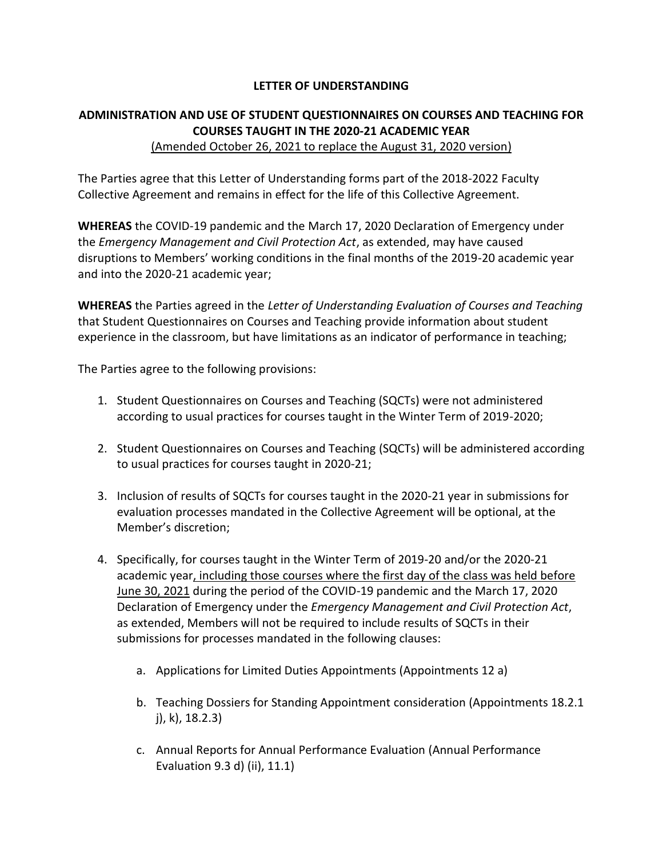## **LETTER OF UNDERSTANDING**

## **ADMINISTRATION AND USE OF STUDENT QUESTIONNAIRES ON COURSES AND TEACHING FOR COURSES TAUGHT IN THE 2020-21 ACADEMIC YEAR**

## (Amended October 26, 2021 to replace the August 31, 2020 version)

The Parties agree that this Letter of Understanding forms part of the 2018-2022 Faculty Collective Agreement and remains in effect for the life of this Collective Agreement.

**WHEREAS** the COVID-19 pandemic and the March 17, 2020 Declaration of Emergency under the *Emergency Management and Civil Protection Act*, as extended, may have caused disruptions to Members' working conditions in the final months of the 2019-20 academic year and into the 2020-21 academic year;

**WHEREAS** the Parties agreed in the *Letter of Understanding Evaluation of Courses and Teaching* that Student Questionnaires on Courses and Teaching provide information about student experience in the classroom, but have limitations as an indicator of performance in teaching;

The Parties agree to the following provisions:

- 1. Student Questionnaires on Courses and Teaching (SQCTs) were not administered according to usual practices for courses taught in the Winter Term of 2019-2020;
- 2. Student Questionnaires on Courses and Teaching (SQCTs) will be administered according to usual practices for courses taught in 2020-21;
- 3. Inclusion of results of SQCTs for courses taught in the 2020-21 year in submissions for evaluation processes mandated in the Collective Agreement will be optional, at the Member's discretion;
- 4. Specifically, for courses taught in the Winter Term of 2019-20 and/or the 2020-21 academic year, including those courses where the first day of the class was held before June 30, 2021 during the period of the COVID-19 pandemic and the March 17, 2020 Declaration of Emergency under the *Emergency Management and Civil Protection Act*, as extended, Members will not be required to include results of SQCTs in their submissions for processes mandated in the following clauses:
	- a. Applications for Limited Duties Appointments (Appointments 12 a)
	- b. Teaching Dossiers for Standing Appointment consideration (Appointments 18.2.1 j), k), 18.2.3)
	- c. Annual Reports for Annual Performance Evaluation (Annual Performance Evaluation 9.3 d) (ii), 11.1)